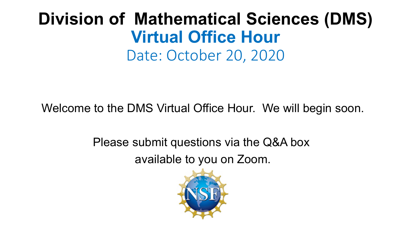## **Division of Mathematical Sciences (DMS) Virtual Office Hour** Date: October 20, 2020

Welcome to the DMS Virtual Office Hour. We will begin soon.

Please submit questions via the Q&A box available to you on Zoom.

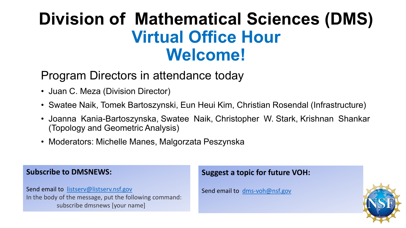## **Division of Mathematical Sciences (DMS) Virtual Office Hour Welcome!**

### Program Directors in attendance today

- Juan C. Meza (Division Director)
- Swatee Naik, Tomek Bartoszynski, Eun Heui Kim, Christian Rosendal (Infrastructure)
- Joanna Kania-Bartoszynska, Swatee Naik, Christopher W. Stark, Krishnan Shankar (Topology and Geometric Analysis)
- Moderators: Michelle Manes, Malgorzata Peszynska

#### **Subscribe to DMSNEWS:**

Send email to [listserv@listserv.nsf.gov](mailto:listserv@listserv.nsf.gov) In the body of the message, put the following command: subscribe dmsnews [your name]

#### **Suggest a topic for future VOH:**

Send email to [dms-voh@nsf.gov](mailto:dms-voh@nsf.gov)

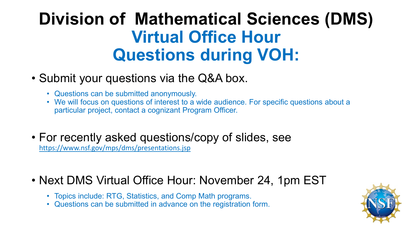# **Division of Mathematical Sciences (DMS) Virtual Office Hour Questions during VOH:**

### • Submit your questions via the Q&A box.

- Questions can be submitted anonymously.
- We will focus on questions of interest to a wide audience. For specific questions about a particular project, contact a cognizant Program Officer.
- For recently asked questions/copy of slides, see <https://www.nsf.gov/mps/dms/presentations.jsp>

### • Next DMS Virtual Office Hour: November 24, 1pm EST

- Topics include: RTG, Statistics, and Comp Math programs.
- Questions can be submitted in advance on the registration form.

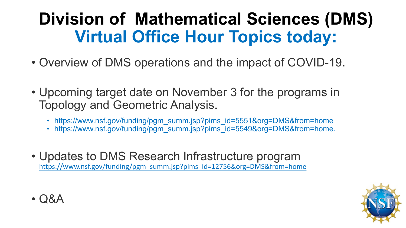# **Division of Mathematical Sciences (DMS) Virtual Office Hour Topics today:**

- Overview of DMS operations and the impact of COVID-19.
- Upcoming target date on November 3 for the programs in Topology and Geometric Analysis.
	- https://www.nsf.gov/funding/pgm\_summ.jsp?pims\_id=5551&org=DMS&from=home
	- https://www.nsf.gov/funding/pgm\_summ.jsp?pims\_id=5549&org=DMS&from=home.
- Updates to DMS Research Infrastructure program https://www.nsf.gov/funding/pgm\_summ.jsp?pims\_id=12756&org=DMS&from=home



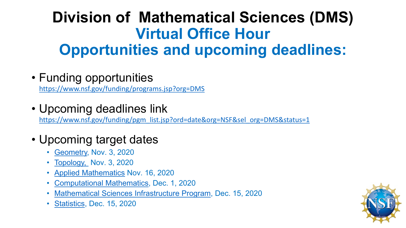## **Division of Mathematical Sciences (DMS) Virtual Office Hour Opportunities and upcoming deadlines:**

• Funding opportunities

<https://www.nsf.gov/funding/programs.jsp?org=DMS>

• Upcoming deadlines link

[https://www.nsf.gov/funding/pgm\\_list.jsp?ord=date&org=NSF&sel\\_org=DMS&status=1](https://www.nsf.gov/funding/pgm_list.jsp?ord=date&org=NSF&sel_org=DMS&status=1)

- Upcoming target dates
	- [Geometry,](https://www.nsf.gov/funding/pgm_summ.jsp?pims_id=5549&org=NSF&sel_org=DMS&from=fund) Nov. 3, 2020
	- <u>[Topology,](https://www.nsf.gov/funding/pgm_summ.jsp?pims_id=5551&org=NSF&sel_org=DMS&from=fund) Nov. 3, 2020</u>
	- [Applied Mathematics](https://www.nsf.gov/funding/pgm_summ.jsp?pims_id=5664&org=DMS&sel_org=DMS&from=fund) Nov. 16, 2020
	- [Computational Mathematics](https://www.nsf.gov/funding/pgm_summ.jsp?pims_id=5390&org=DMS&sel_org=DMS&from=fund), Dec. 1, 2020
	- [Mathematical Sciences Infrastructure Program](https://www.nsf.gov/funding/pgm_summ.jsp?pims_id=12756&org=DMS&sel_org=DMS&from=fund), Dec. 15, 2020
	- [Statistics,](https://www.nsf.gov/funding/pgm_summ.jsp?pims_id=5556&org=DMS&sel_org=DMS&from=fund) Dec. 15, 2020

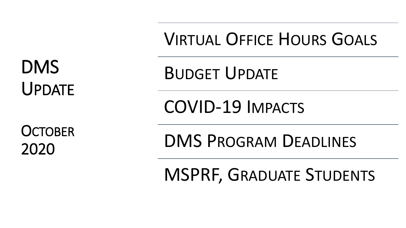DMS UPDATE

**OCTOBER** 2020

VIRTUAL OFFICE HOURS GOALS

BUDGET UPDATE

COVID-19 IMPACTS

DMS PROGRAM DEADLINES

MSPRF, GRADUATE STUDENTS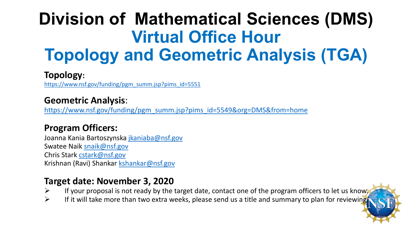# **Division of Mathematical Sciences (DMS) Virtual Office Hour Topology and Geometric Analysis (TGA)**

#### **Topology:**

[https://www.nsf.gov/funding/pgm\\_summ.jsp?pims\\_id=5551](https://www.nsf.gov/funding/pgm_summ.jsp?pims_id=5551)

#### **Geometric Analysis**:

[https://www.nsf.gov/funding/pgm\\_summ.jsp?pims\\_id=5549&org=DMS&from=home](https://www.nsf.gov/funding/pgm_summ.jsp?pims_id=5549&org=DMS&from=home)

#### **Program Officers:**

Joanna Kania Bartoszynska [jkaniaba@nsf.gov](mailto:jkaniaba@nsf.gov) Swatee Naik [snaik@nsf.gov](mailto:snaik@nsf.gov) Chris Stark [cstark@nsf.gov](mailto:cstark@nsf.gov) Krishnan (Ravi) Shankar [kshankar@nsf.gov](mailto:kshankar@nsf.gov)

#### **Target date: November 3, 2020**

- $\triangleright$  If your proposal is not ready by the target date, contact one of the program officers to let us know.
- $\triangleright$  If it will take more than two extra weeks, please send us a title and summary to plan for reviewing.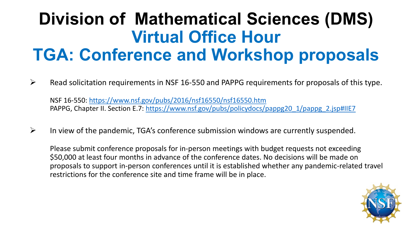## **Division of Mathematical Sciences (DMS) Virtual Office Hour TGA: Conference and Workshop proposals**

 $\triangleright$  Read solicitation requirements in NSF 16-550 and PAPPG requirements for proposals of this type.

NSF 16-550: <https://www.nsf.gov/pubs/2016/nsf16550/nsf16550.htm> PAPPG, Chapter II. Section E.7: [https://www.nsf.gov/pubs/policydocs/pappg20\\_1/pappg\\_2.jsp#IIE7](https://www.nsf.gov/pubs/policydocs/pappg20_1/pappg_2.jsp#IIE7)

 $\triangleright$  In view of the pandemic, TGA's conference submission windows are currently suspended.

Please submit conference proposals for in-person meetings with budget requests not exceeding \$50,000 at least four months in advance of the conference dates. No decisions will be made on proposals to support in-person conferences until it is established whether any pandemic-related travel restrictions for the conference site and time frame will be in place.

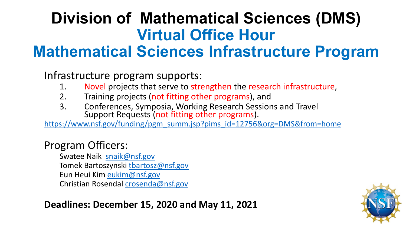### **Division of Mathematical Sciences (DMS) Virtual Office Hour Mathematical Sciences Infrastructure Program**

Infrastructure program supports:

- 1. Novel projects that serve to strengthen the research infrastructure,
- 2. Training projects (not fitting other programs), and
- 3. Conferences, Symposia, Working Research Sessions and Travel Support Requests (not fitting other programs).

[https://www.nsf.gov/funding/pgm\\_summ.jsp?pims\\_id=12756&org=DMS&from=home](https://www.nsf.gov/funding/pgm_summ.jsp?pims_id=12756&org=DMS&from=home)

### Program Officers:

Swatee Naik [snaik@nsf.gov](mailto:snaik@nsf.gov) Tomek Bartoszynski [tbartosz@nsf.gov](mailto:tbartosz@nsf.gov) Eun Heui Kim [eukim@nsf.gov](mailto:eukim@nsf.gov) Christian Rosendal [crosenda@nsf.gov](mailto:crosenda@nsf.gov)

### **Deadlines: December 15, 2020 and May 11, 2021**

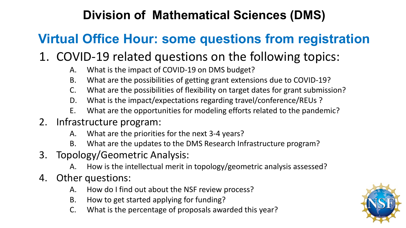### **Division of Mathematical Sciences (DMS)**

### **Virtual Office Hour: some questions from registration**

### 1. COVID-19 related questions on the following topics:

- A. What is the impact of COVID-19 on DMS budget?
- B. What are the possibilities of getting grant extensions due to COVID-19?
- C. What are the possibilities of flexibility on target dates for grant submission?
- D. What is the impact/expectations regarding travel/conference/REUs ?
- E. What are the opportunities for modeling efforts related to the pandemic?
- 2. Infrastructure program:
	- A. What are the priorities for the next 3-4 years?
	- B. What are the updates to the DMS Research Infrastructure program?
- 3. Topology/Geometric Analysis:
	- A. How is the intellectual merit in topology/geometric analysis assessed?
- 4. Other questions:
	- A. How do I find out about the NSF review process?
	- B. How to get started applying for funding?
	- C. What is the percentage of proposals awarded this year?